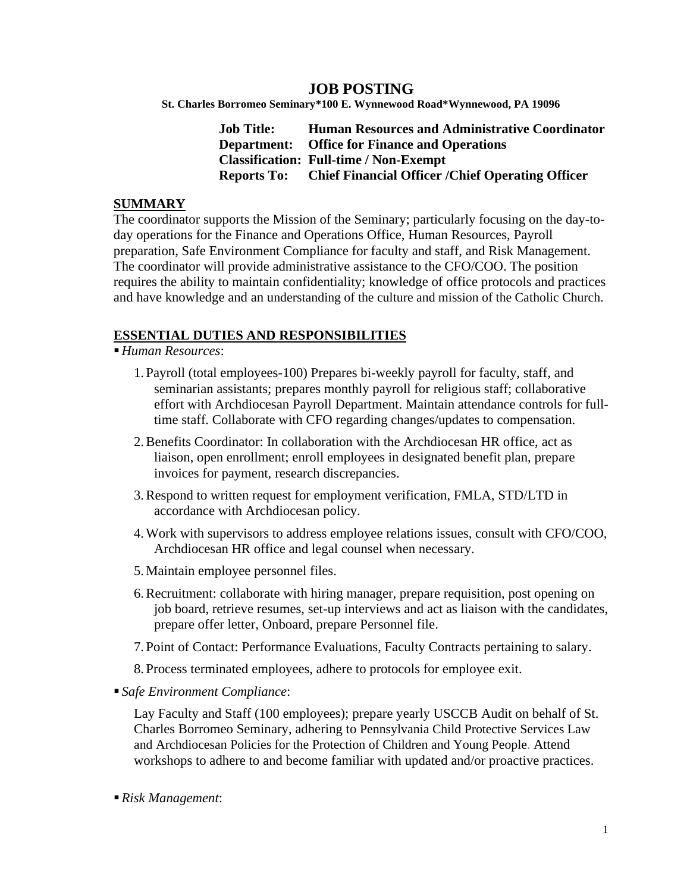# **JOB POSTING**

**St. Charles Borromeo Seminary\*100 E. Wynnewood Road\*Wynnewood, PA 19096**

**Job Title: Human Resources and Administrative Coordinator Department: Office for Finance and Operations Classification: Full-time / Non-Exempt Reports To: Chief Financial Officer /Chief Operating Officer**

### **SUMMARY**

The coordinator supports the Mission of the Seminary; particularly focusing on the day-today operations for the Finance and Operations Office, Human Resources, Payroll preparation, Safe Environment Compliance for faculty and staff, and Risk Management. The coordinator will provide administrative assistance to the CFO/COO. The position requires the ability to maintain confidentiality; knowledge of office protocols and practices and have knowledge and an understanding of the culture and mission of the Catholic Church.

### **ESSENTIAL DUTIES AND RESPONSIBILITIES**

▪*Human Resources*:

- 1. Payroll (total employees-100) Prepares bi-weekly payroll for faculty, staff, and seminarian assistants; prepares monthly payroll for religious staff; collaborative effort with Archdiocesan Payroll Department. Maintain attendance controls for fulltime staff. Collaborate with CFO regarding changes/updates to compensation.
- 2.Benefits Coordinator: In collaboration with the Archdiocesan HR office, act as liaison, open enrollment; enroll employees in designated benefit plan, prepare invoices for payment, research discrepancies.
- 3.Respond to written request for employment verification, FMLA, STD/LTD in accordance with Archdiocesan policy.
- 4.Work with supervisors to address employee relations issues, consult with CFO/COO, Archdiocesan HR office and legal counsel when necessary.
- 5. Maintain employee personnel files.
- 6.Recruitment: collaborate with hiring manager, prepare requisition, post opening on job board, retrieve resumes, set-up interviews and act as liaison with the candidates, prepare offer letter, Onboard, prepare Personnel file.
- 7. Point of Contact: Performance Evaluations, Faculty Contracts pertaining to salary.
- 8. Process terminated employees, adhere to protocols for employee exit.
- *Safe Environment Compliance*:

Lay Faculty and Staff (100 employees); prepare yearly USCCB Audit on behalf of St. Charles Borromeo Seminary, adhering to Pennsylvania Child Protective Services Law and Archdiocesan Policies for the [Protection](http://archphila.org/wp-content/uploads/2016/11/Policies-Nov2016.pdf) of Children and Young People. Attend workshops to adhere to and become familiar with updated and/or proactive practices.

▪*Risk Management*: